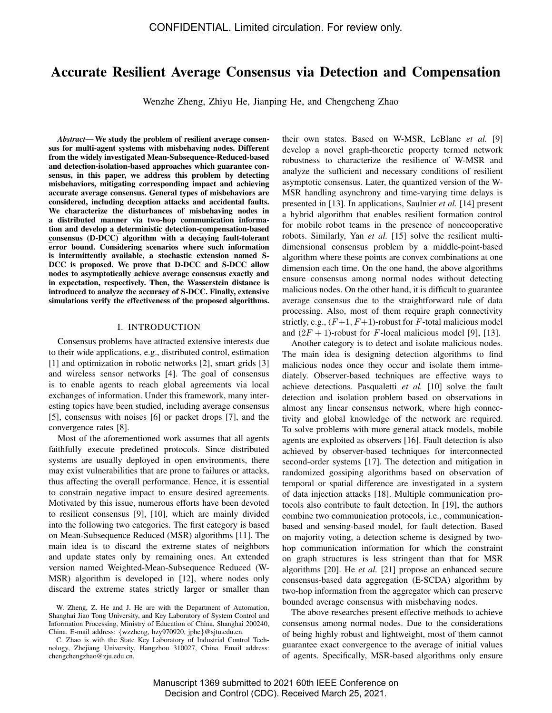# Accurate Resilient Average Consensus via Detection and Compensation

Wenzhe Zheng, Zhiyu He, Jianping He, and Chengcheng Zhao

*Abstract*— We study the problem of resilient average consensus for multi-agent systems with misbehaving nodes. Different from the widely investigated Mean-Subsequence-Reduced-based and detection-isolation-based approaches which guarantee consensus, in this paper, we address this problem by detecting misbehaviors, mitigating corresponding impact and achieving accurate average consensus. General types of misbehaviors are considered, including deception attacks and accidental faults. We characterize the disturbances of misbehaving nodes in a distributed manner via two-hop communication information and develop a deterministic detection-compensation-based consensus (D-DCC) algorithm with a decaying fault-tolerant error bound. Considering scenarios where such information is intermittently available, a stochastic extension named S-DCC is proposed. We prove that D-DCC and S-DCC allow nodes to asymptotically achieve average consensus exactly and in expectation, respectively. Then, the Wasserstein distance is introduced to analyze the accuracy of S-DCC. Finally, extensive simulations verify the effectiveness of the proposed algorithms.

#### I. INTRODUCTION

Consensus problems have attracted extensive interests due to their wide applications, e.g., distributed control, estimation [1] and optimization in robotic networks [2], smart grids [3] and wireless sensor networks [4]. The goal of consensus is to enable agents to reach global agreements via local exchanges of information. Under this framework, many interesting topics have been studied, including average consensus [5], consensus with noises [6] or packet drops [7], and the convergence rates [8].

Most of the aforementioned work assumes that all agents faithfully execute predefined protocols. Since distributed systems are usually deployed in open environments, there may exist vulnerabilities that are prone to failures or attacks, thus affecting the overall performance. Hence, it is essential to constrain negative impact to ensure desired agreements. Motivated by this issue, numerous efforts have been devoted to resilient consensus [9], [10], which are mainly divided into the following two categories. The first category is based on Mean-Subsequence Reduced (MSR) algorithms [11]. The main idea is to discard the extreme states of neighbors and update states only by remaining ones. An extended version named Weighted-Mean-Subsequence Reduced (W-MSR) algorithm is developed in [12], where nodes only discard the extreme states strictly larger or smaller than

their own states. Based on W-MSR, LeBlanc *et al.* [9] develop a novel graph-theoretic property termed network robustness to characterize the resilience of W-MSR and analyze the sufficient and necessary conditions of resilient asymptotic consensus. Later, the quantized version of the W-MSR handling asynchrony and time-varying time delays is presented in [13]. In applications, Saulnier *et al.* [14] present a hybrid algorithm that enables resilient formation control for mobile robot teams in the presence of noncooperative robots. Similarly, Yan *et al.* [15] solve the resilient multidimensional consensus problem by a middle-point-based algorithm where these points are convex combinations at one dimension each time. On the one hand, the above algorithms ensure consensus among normal nodes without detecting malicious nodes. On the other hand, it is difficult to guarantee average consensus due to the straightforward rule of data processing. Also, most of them require graph connectivity strictly, e.g.,  $(F+1, F+1)$ -robust for F-total malicious model and  $(2F + 1)$ -robust for F-local malicious model [9], [13].

Another category is to detect and isolate malicious nodes. The main idea is designing detection algorithms to find malicious nodes once they occur and isolate them immediately. Observer-based techniques are effective ways to achieve detections. Pasqualetti *et al.* [10] solve the fault detection and isolation problem based on observations in almost any linear consensus network, where high connectivity and global knowledge of the network are required. To solve problems with more general attack models, mobile agents are exploited as observers [16]. Fault detection is also achieved by observer-based techniques for interconnected second-order systems [17]. The detection and mitigation in randomized gossiping algorithms based on observation of temporal or spatial difference are investigated in a system of data injection attacks [18]. Multiple communication protocols also contribute to fault detection. In [19], the authors combine two communication protocols, i.e., communicationbased and sensing-based model, for fault detection. Based on majority voting, a detection scheme is designed by twohop communication information for which the constraint on graph structures is less stringent than that for MSR algorithms [20]. He *et al.* [21] propose an enhanced secure consensus-based data aggregation (E-SCDA) algorithm by two-hop information from the aggregator which can preserve bounded average consensus with misbehaving nodes.

The above researches present effective methods to achieve consensus among normal nodes. Due to the considerations of being highly robust and lightweight, most of them cannot guarantee exact convergence to the average of initial values of agents. Specifically, MSR-based algorithms only ensure

W. Zheng, Z. He and J. He are with the Department of Automation, Shanghai Jiao Tong University, and Key Laboratory of System Control and Information Processing, Ministry of Education of China, Shanghai 200240, China. E-mail address: {wzzheng, hzy970920, jphe}@sjtu.edu.cn.

C. Zhao is with the State Key Laboratory of Industrial Control Technology, Zhejiang University, Hangzhou 310027, China. Email address: chengchengzhao@zju.edu.cn.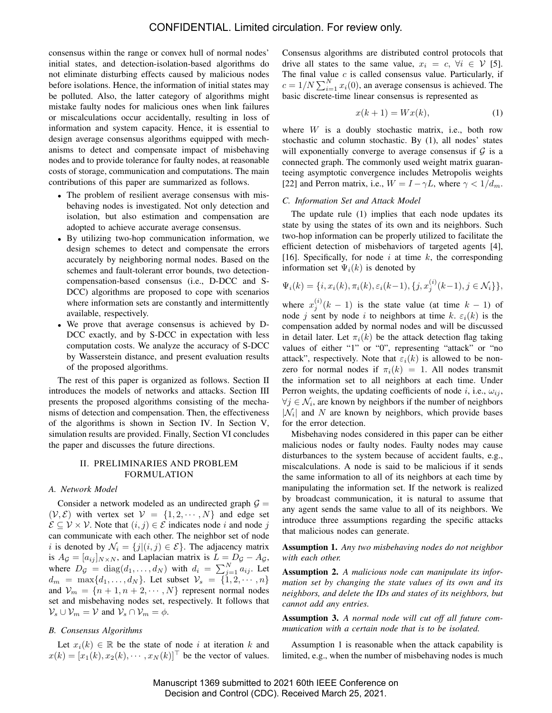consensus within the range or convex hull of normal nodes' initial states, and detection-isolation-based algorithms do not eliminate disturbing effects caused by malicious nodes before isolations. Hence, the information of initial states may be polluted. Also, the latter category of algorithms might mistake faulty nodes for malicious ones when link failures or miscalculations occur accidentally, resulting in loss of information and system capacity. Hence, it is essential to design average consensus algorithms equipped with mechanisms to detect and compensate impact of misbehaving nodes and to provide tolerance for faulty nodes, at reasonable costs of storage, communication and computations. The main contributions of this paper are summarized as follows.

- The problem of resilient average consensus with misbehaving nodes is investigated. Not only detection and isolation, but also estimation and compensation are adopted to achieve accurate average consensus.
- By utilizing two-hop communication information, we design schemes to detect and compensate the errors accurately by neighboring normal nodes. Based on the schemes and fault-tolerant error bounds, two detectioncompensation-based consensus (i.e., D-DCC and S-DCC) algorithms are proposed to cope with scenarios where information sets are constantly and intermittently available, respectively.
- We prove that average consensus is achieved by D-DCC exactly, and by S-DCC in expectation with less computation costs. We analyze the accuracy of S-DCC by Wasserstein distance, and present evaluation results of the proposed algorithms.

The rest of this paper is organized as follows. Section II introduces the models of networks and attacks. Section III presents the proposed algorithms consisting of the mechanisms of detection and compensation. Then, the effectiveness of the algorithms is shown in Section IV. In Section V, simulation results are provided. Finally, Section VI concludes the paper and discusses the future directions.

## II. PRELIMINARIES AND PROBLEM FORMULATION

### *A. Network Model*

Consider a network modeled as an undirected graph  $\mathcal{G} =$  $(V, \mathcal{E})$  with vertex set  $V = \{1, 2, \dots, N\}$  and edge set  $\mathcal{E} \subseteq \mathcal{V} \times \mathcal{V}$ . Note that  $(i, j) \in \mathcal{E}$  indicates node i and node j can communicate with each other. The neighbor set of node i is denoted by  $\mathcal{N}_i = \{j | (i, j) \in \mathcal{E} \}$ . The adjacency matrix is  $A_{\mathcal{G}} = [a_{ij}]_{N \times N}$ , and Laplacian matrix is  $L = D_{\mathcal{G}} - A_{\mathcal{G}}$ , where  $D_g = \text{diag}(d_1, \ldots, d_N)$  with  $d_i = \sum_{j=1}^N a_{ij}$ . Let  $d_m = \max\{d_1, \ldots, d_N\}$ . Let subset  $\mathcal{V}_s = \{1, 2, \cdots, n\}$ and  $V_m = \{n+1, n+2, \dots, N\}$  represent normal nodes set and misbehaving nodes set, respectively. It follows that  $\mathcal{V}_s \cup \mathcal{V}_m = \mathcal{V}$  and  $\mathcal{V}_s \cap \mathcal{V}_m = \phi$ .

#### *B. Consensus Algorithms*

Let  $x_i(k) \in \mathbb{R}$  be the state of node i at iteration k and  $x(k) = [x_1(k), x_2(k), \cdots, x_N(k)]^\top$  be the vector of values. Consensus algorithms are distributed control protocols that drive all states to the same value,  $x_i = c, \forall i \in V$  [5]. The final value  $c$  is called consensus value. Particularly, if  $c = 1/N \sum_{i=1}^{N} x_i(0)$ , an average consensus is achieved. The basic discrete-time linear consensus is represented as

$$
x(k+1) = Wx(k),\tag{1}
$$

where  $W$  is a doubly stochastic matrix, i.e., both row stochastic and column stochastic. By (1), all nodes' states will exponentially converge to average consensus if  $G$  is a connected graph. The commonly used weight matrix guaranteeing asymptotic convergence includes Metropolis weights [22] and Perron matrix, i.e.,  $W = I - \gamma L$ , where  $\gamma < 1/d_m$ .

#### *C. Information Set and Attack Model*

The update rule (1) implies that each node updates its state by using the states of its own and its neighbors. Such two-hop information can be properly utilized to facilitate the efficient detection of misbehaviors of targeted agents [4], [16]. Specifically, for node i at time  $k$ , the corresponding information set  $\Psi_i(k)$  is denoted by

$$
\Psi_i(k) = \{i, x_i(k), \pi_i(k), \varepsilon_i(k-1), \{j, x_j^{(i)}(k-1), j \in \mathcal{N}_i\}\},\
$$

where  $x_j^{(i)}(k-1)$  is the state value (at time  $k-1$ ) of node j sent by node i to neighbors at time k.  $\varepsilon_i(k)$  is the compensation added by normal nodes and will be discussed in detail later. Let  $\pi_i(k)$  be the attack detection flag taking values of either "1" or "0", representing "attack" or "no attack", respectively. Note that  $\varepsilon_i(k)$  is allowed to be nonzero for normal nodes if  $\pi_i(k) = 1$ . All nodes transmit the information set to all neighbors at each time. Under Perron weights, the updating coefficients of node i, i.e.,  $\omega_{ij}$ ,  $\forall j \in \mathcal{N}_i$ , are known by neighbors if the number of neighbors  $|\mathcal{N}_i|$  and N are known by neighbors, which provide bases for the error detection.

Misbehaving nodes considered in this paper can be either malicious nodes or faulty nodes. Faulty nodes may cause disturbances to the system because of accident faults, e.g., miscalculations. A node is said to be malicious if it sends the same information to all of its neighbors at each time by manipulating the information set. If the network is realized by broadcast communication, it is natural to assume that any agent sends the same value to all of its neighbors. We introduce three assumptions regarding the specific attacks that malicious nodes can generate.

Assumption 1. *Any two misbehaving nodes do not neighbor with each other.*

Assumption 2. *A malicious node can manipulate its information set by changing the state values of its own and its neighbors, and delete the IDs and states of its neighbors, but cannot add any entries.*

Assumption 3. *A normal node will cut off all future communication with a certain node that is to be isolated.*

Assumption 1 is reasonable when the attack capability is limited, e.g., when the number of misbehaving nodes is much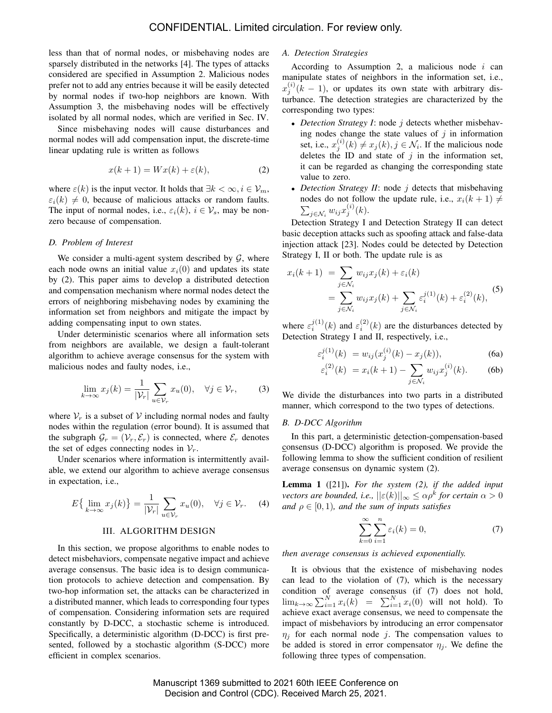less than that of normal nodes, or misbehaving nodes are sparsely distributed in the networks [4]. The types of attacks considered are specified in Assumption 2. Malicious nodes prefer not to add any entries because it will be easily detected by normal nodes if two-hop neighbors are known. With Assumption 3, the misbehaving nodes will be effectively isolated by all normal nodes, which are verified in Sec. IV.

Since misbehaving nodes will cause disturbances and normal nodes will add compensation input, the discrete-time linear updating rule is written as follows

$$
x(k+1) = Wx(k) + \varepsilon(k),\tag{2}
$$

where  $\varepsilon(k)$  is the input vector. It holds that  $\exists k < \infty, i \in \mathcal{V}_m$ ,  $\varepsilon_i(k) \neq 0$ , because of malicious attacks or random faults. The input of normal nodes, i.e.,  $\varepsilon_i(k)$ ,  $i \in \mathcal{V}_s$ , may be nonzero because of compensation.

#### *D. Problem of Interest*

We consider a multi-agent system described by  $G$ , where each node owns an initial value  $x_i(0)$  and updates its state by (2). This paper aims to develop a distributed detection and compensation mechanism where normal nodes detect the errors of neighboring misbehaving nodes by examining the information set from neighbors and mitigate the impact by adding compensating input to own states.

Under deterministic scenarios where all information sets from neighbors are available, we design a fault-tolerant algorithm to achieve average consensus for the system with malicious nodes and faulty nodes, i.e.,

$$
\lim_{k \to \infty} x_j(k) = \frac{1}{|\mathcal{V}_r|} \sum_{u \in \mathcal{V}_r} x_u(0), \quad \forall j \in \mathcal{V}_r,
$$
 (3)

where  $V_r$  is a subset of V including normal nodes and faulty nodes within the regulation (error bound). It is assumed that the subgraph  $\mathcal{G}_r = (\mathcal{V}_r, \mathcal{E}_r)$  is connected, where  $\mathcal{E}_r$  denotes the set of edges connecting nodes in  $V_r$ .

Under scenarios where information is intermittently available, we extend our algorithm to achieve average consensus in expectation, i.e.,

$$
E\{\lim_{k \to \infty} x_j(k)\} = \frac{1}{|\mathcal{V}_r|} \sum_{u \in \mathcal{V}_r} x_u(0), \quad \forall j \in \mathcal{V}_r. \tag{4}
$$

#### III. ALGORITHM DESIGN

In this section, we propose algorithms to enable nodes to detect misbehaviors, compensate negative impact and achieve average consensus. The basic idea is to design communication protocols to achieve detection and compensation. By two-hop information set, the attacks can be characterized in a distributed manner, which leads to corresponding four types of compensation. Considering information sets are required constantly by D-DCC, a stochastic scheme is introduced. Specifically, a deterministic algorithm (D-DCC) is first presented, followed by a stochastic algorithm (S-DCC) more efficient in complex scenarios.

### *A. Detection Strategies*

According to Assumption 2, a malicious node  $i$  can manipulate states of neighbors in the information set, i.e.,  $x_j^{(i)}$  ( $k-1$ ), or updates its own state with arbitrary disturbance. The detection strategies are characterized by the corresponding two types:

- *Detection Strategy I*: node *j* detects whether misbehaving nodes change the state values of  $j$  in information set, i.e.,  $x_j^{(i)}(k) \neq x_j(k)$ ,  $j \in \mathcal{N}_i$ . If the malicious node deletes the ID and state of  $j$  in the information set, it can be regarded as changing the corresponding state value to zero.
- *Detection Strategy II*: node *j* detects that misbehaving nodes do not follow the update rule, i.e.,  $x_i(k + 1) \neq$  $\sum_{j \in \mathcal{N}_i} w_{ij} x_j^{(i)}(k)$ .

Detection Strategy I and Detection Strategy II can detect basic deception attacks such as spoofing attack and false-data injection attack [23]. Nodes could be detected by Detection Strategy I, II or both. The update rule is as

$$
x_i(k+1) = \sum_{j \in \mathcal{N}_i} w_{ij} x_j(k) + \varepsilon_i(k)
$$
  
= 
$$
\sum_{j \in \mathcal{N}_i} w_{ij} x_j(k) + \sum_{j \in \mathcal{N}_i} \varepsilon_i^{j(1)}(k) + \varepsilon_i^{(2)}(k),
$$
 (5)

where  $\varepsilon_i^{j(1)}(k)$  and  $\varepsilon_i^{(2)}(k)$  are the disturbances detected by Detection Strategy I and II, respectively, i.e.,

$$
\varepsilon_i^{j(1)}(k) = w_{ij}(x_j^{(i)}(k) - x_j(k)), \tag{6a}
$$

$$
\varepsilon_i^{(2)}(k) = x_i(k+1) - \sum_{j \in \mathcal{N}_i} w_{ij} x_j^{(i)}(k). \tag{6b}
$$

We divide the disturbances into two parts in a distributed manner, which correspond to the two types of detections.

#### *B. D-DCC Algorithm*

In this part, a deterministic detection-compensation-based consensus (D-DCC) algorithm is proposed. We provide the following lemma to show the sufficient condition of resilient average consensus on dynamic system (2).

Lemma 1 ([21]). *For the system (2), if the added input vectors are bounded, i.e.,*  $||\varepsilon(k)||_{\infty} \le \alpha \rho^k$  for certain  $\alpha > 0$ *and*  $\rho \in [0, 1)$ *, and the sum of inputs satisfies* 

$$
\sum_{k=0}^{\infty} \sum_{i=1}^{n} \varepsilon_i(k) = 0,
$$
\n(7)

*then average consensus is achieved exponentially.*

It is obvious that the existence of misbehaving nodes can lead to the violation of (7), which is the necessary condition of average consensus (if (7) does not hold,  $\lim_{k\to\infty}\sum_{i=1}^N x_i(k) = \sum_{i=1}^N x_i(0)$  will not hold). To achieve exact average consensus, we need to compensate the impact of misbehaviors by introducing an error compensator  $\eta_i$  for each normal node j. The compensation values to be added is stored in error compensator  $\eta_i$ . We define the following three types of compensation.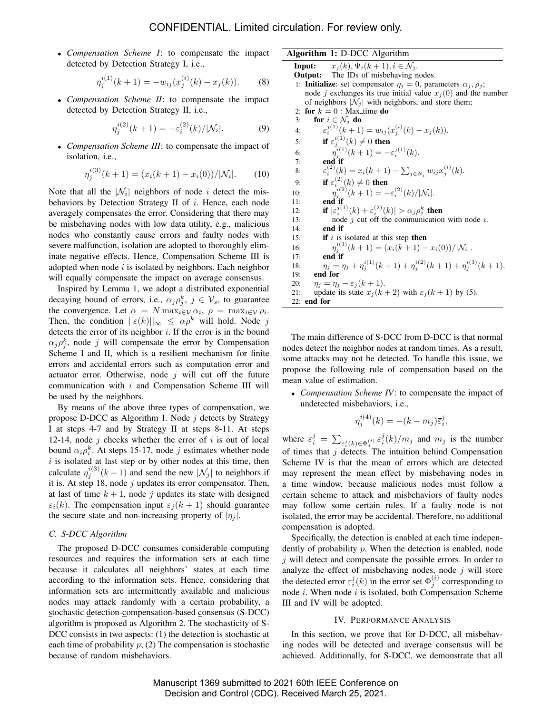• *Compensation Scheme I*: to compensate the impact detected by Detection Strategy I, i.e.,

$$
\eta_j^{i(1)}(k+1) = -w_{ij}(x_j^{(i)}(k) - x_j(k)).
$$
 (8)

• *Compensation Scheme II*: to compensate the impact detected by Detection Strategy II, i.e.,

$$
\eta_j^{i(2)}(k+1) = -\varepsilon_i^{(2)}(k)/|\mathcal{N}_i|.
$$
 (9)

• *Compensation Scheme III*: to compensate the impact of isolation, i.e.,

$$
\eta_j^{i(3)}(k+1) = (x_i(k+1) - x_i(0)) / |\mathcal{N}_i|.
$$
 (10)

Note that all the  $|\mathcal{N}_i|$  neighbors of node i detect the misbehaviors by Detection Strategy II of  $i$ . Hence, each node averagely compensates the error. Considering that there may be misbehaving nodes with low data utility, e.g., malicious nodes who constantly cause errors and faulty nodes with severe malfunction, isolation are adopted to thoroughly eliminate negative effects. Hence, Compensation Scheme III is adopted when node  $i$  is isolated by neighbors. Each neighbor will equally compensate the impact on average consensus.

Inspired by Lemma 1, we adopt a distributed exponential decaying bound of errors, i.e.,  $\alpha_j \rho_j^k$ ,  $j \in \mathcal{V}_s$ , to guarantee the convergence. Let  $\alpha = N \max_{i \in \mathcal{V}} \alpha_i$ ,  $\rho = \max_{i \in \mathcal{V}} \rho_i$ . Then, the condition  $||\varepsilon(k)||_{\infty} \leq \alpha \rho^k$  will hold. Node j detects the error of its neighbor  $i$ . If the error is in the bound  $\alpha_j \rho_j^k$ , node j will compensate the error by Compensation Scheme I and II, which is a resilient mechanism for finite errors and accidental errors such as computation error and actuator error. Otherwise, node  $j$  will cut off the future communication with i and Compensation Scheme III will be used by the neighbors.

By means of the above three types of compensation, we propose D-DCC as Algorithm 1. Node  $j$  detects by Strategy I at steps 4-7 and by Strategy II at steps 8-11. At steps 12-14, node  $j$  checks whether the error of  $i$  is out of local bound  $\alpha_i \rho_i^k$ . At steps 15-17, node j estimates whether node  $i$  is isolated at last step or by other nodes at this time, then calculate  $\eta_j^{i(3)}(k+1)$  and send the new  $|\mathcal{N}_j|$  to neighbors if it is. At step 18, node  $j$  updates its error compensator. Then, at last of time  $k + 1$ , node j updates its state with designed  $\varepsilon_i(k)$ . The compensation input  $\varepsilon_i (k + 1)$  should guarantee the secure state and non-increasing property of  $|\eta_i|$ .

### *C. S-DCC Algorithm*

The proposed D-DCC consumes considerable computing resources and requires the information sets at each time because it calculates all neighbors' states at each time according to the information sets. Hence, considering that information sets are intermittently available and malicious nodes may attack randomly with a certain probability, a stochastic detection-compensation-based consensus (S-DCC) algorithm is proposed as Algorithm 2. The stochasticity of S-DCC consists in two aspects: (1) the detection is stochastic at each time of probability  $p$ ; (2) The compensation is stochastic because of random misbehaviors.

#### Algorithm 1: D-DCC Algorithm

**Input:**  $x_i(k), \Psi_i(k+1), i \in \mathcal{N}_i$ . Output: The IDs of misbehaving nodes. 1: **Initialize**: set compensator  $\eta_j = 0$ , parameters  $\alpha_j, \rho_j$ ; node j exchanges its true initial value  $x_j(0)$  and the number of neighbors  $|\mathcal{N}_i|$  with neighbors, and store them; 2: for  $k = 0$  : Max time do 3: for  $i \in \mathcal{N}_j$  do 4:  $\varepsilon_i^{j(1)}(k+1) = w_{ij}(x_j^{(i)}(k) - x_j(k)).$ 5: if  $\varepsilon_j^{i(1)}(k) \neq 0$  then 6:  $\tilde{\eta}_j^{i(1)}(k+1) = -\varepsilon_i^{j(1)}(k).$  $7:$  end if 8:  $\varepsilon_i^{(2)}(k) = x_i(k+1) - \sum_{j \in N_i} w_{ij} x_j^{(i)}(k).$ 9: **if**  $\varepsilon_{i}^{(2)}(k) \neq 0$  then 10:  $\eta_j^{i(2)}(k+1) = -\varepsilon_i^{(2)}(k)/|\mathcal{N}_i|.$ 11:  $end$  if 12: **if**  $|\varepsilon_i^{j(1)}(k) + \varepsilon_i^{(2)}(k)| > \alpha_j \rho_j^k$  then 13: node  $j$  cut off the communication with node  $i$ . 14: end if 15: **if** i is isolated at this step then 16:  $j_j^{(3)}(k+1) = (x_i(k+1) - x_i(0))/|\mathcal{N}_i|.$  $17:$  end if 18:  $\eta_j = \eta_j + \eta_j^{i(1)}(k+1) + \eta_j^{i(2)}(k+1) + \eta_j^{i(3)}(k+1).$ 19: end for 20:  $\eta_j = \eta_j - \varepsilon_j (k+1)$ . 21: update its state  $x_j (k+2)$  with  $\varepsilon_j (k+1)$  by (5). 22: end for

The main difference of S-DCC from D-DCC is that normal nodes detect the neighbor nodes at random times. As a result, some attacks may not be detected. To handle this issue, we propose the following rule of compensation based on the mean value of estimation.

• *Compensation Scheme IV*: to compensate the impact of undetected misbehaviors, i.e.,

$$
\eta_j^{i(4)}(k) = -(k - m_j)\overline{\varepsilon}_i^j,
$$

where  $\bar{\varepsilon}_i^j = \sum_{\varepsilon_i^j(k) \in \Phi_j^{(i)}} \varepsilon_i^j(k)/m_j$  and  $m_j$  is the number of times that  $j$  detects. The intuition behind Compensation Scheme IV is that the mean of errors which are detected may represent the mean effect by misbehaving nodes in a time window, because malicious nodes must follow a certain scheme to attack and misbehaviors of faulty nodes may follow some certain rules. If a faulty node is not isolated, the error may be accidental. Therefore, no additional compensation is adopted.

Specifically, the detection is enabled at each time independently of probability p. When the detection is enabled, node  $j$  will detect and compensate the possible errors. In order to analyze the effect of misbehaving nodes, node  $j$  will store the detected error  $\varepsilon_i^j(k)$  in the error set  $\Phi_j^{(i)}$  corresponding to node  $i$ . When node  $i$  is isolated, both Compensation Scheme III and IV will be adopted.

#### IV. PERFORMANCE ANALYSIS

In this section, we prove that for D-DCC, all misbehaving nodes will be detected and average consensus will be achieved. Additionally, for S-DCC, we demonstrate that all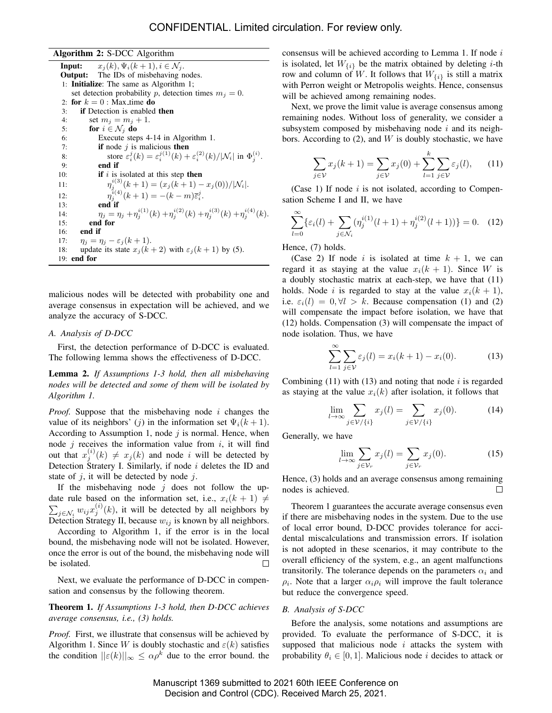Algorithm 2: S-DCC Algorithm **Input:**  $x_i(k), \Psi_i(k+1), i \in \mathcal{N}_i$ . Output: The IDs of misbehaving nodes. 1: Initialize: The same as Algorithm 1; set detection probability p, detection times  $m_j = 0$ . 2: for  $k = 0$  : Max time do 3: if Detection is enabled then 4: set  $m_i = m_i + 1$ . 5: for  $i \in \mathcal{N}_j$  do 6: Execute steps 4-14 in Algorithm 1.<br>7: **if** node *j* is malicious **then** if node  $j$  is malicious then 8: store  $\varepsilon_i^j(k) = \varepsilon_i^{j(1)}(k) + \varepsilon_i^{(2)}(k) / |\mathcal{N}_i|$  in  $\Phi_j^{(i)}$ . 9: end if 10: **if** i is isolated at this step **then** 11:  $j_j^{i(3)}(k+1) = (x_j(k+1) - x_j(0))/|\mathcal{N}_i|.$  $12:$  $j_j^{i(4)}(k+1) = -(k-m)\bar{\varepsilon}_i^j$ .  $13:$  end if 14:  $\eta_j = \eta_j + \eta_j^{i(1)}(k) + \eta_j^{i(2)}(k) + \eta_j^{i(3)}(k) + \eta_j^{i(4)}(k).$ 15: end for 16: end if 17:  $\eta_j = \eta_j - \varepsilon_j (k+1).$ 18: update its state  $x_j (k+2)$  with  $\varepsilon_j (k+1)$  by (5). 19: end for

malicious nodes will be detected with probability one and average consensus in expectation will be achieved, and we analyze the accuracy of S-DCC.

#### *A. Analysis of D-DCC*

First, the detection performance of D-DCC is evaluated. The following lemma shows the effectiveness of D-DCC.

Lemma 2. *If Assumptions 1-3 hold, then all misbehaving nodes will be detected and some of them will be isolated by Algorithm 1.*

*Proof.* Suppose that the misbehaving node *i* changes the value of its neighbors' (j) in the information set  $\Psi_i(k+1)$ . According to Assumption 1, node  $j$  is normal. Hence, when node  $j$  receives the information value from  $i$ , it will find out that  $x_j^{(i)}(k) \neq x_j(k)$  and node i will be detected by Detection Stratery I. Similarly, if node  $i$  deletes the ID and state of  $i$ , it will be detected by node  $i$ .

If the misbehaving node  $j$  does not follow the update rule based on the information set, i.e.,  $x_i(k + 1) \neq$  $\sum_{j \in \mathcal{N}_i} w_{ij} x_j^{(i)}(k)$ , it will be detected by all neighbors by Detection Strategy II, because  $w_{ij}$  is known by all neighbors.

According to Algorithm 1, if the error is in the local bound, the misbehaving node will not be isolated. However, once the error is out of the bound, the misbehaving node will be isolated. П

Next, we evaluate the performance of D-DCC in compensation and consensus by the following theorem.

# Theorem 1. *If Assumptions 1-3 hold, then D-DCC achieves average consensus, i.e., (3) holds.*

*Proof.* First, we illustrate that consensus will be achieved by Algorithm 1. Since W is doubly stochastic and  $\varepsilon(k)$  satisfies the condition  $||\varepsilon(k)||_{\infty} \leq \alpha \rho^{k}$  due to the error bound. the consensus will be achieved according to Lemma 1. If node  $i$ is isolated, let  $W_{\{i\}}$  be the matrix obtained by deleting *i*-th row and column of W. It follows that  $W_{\{i\}}$  is still a matrix with Perron weight or Metropolis weights. Hence, consensus will be achieved among remaining nodes.

Next, we prove the limit value is average consensus among remaining nodes. Without loss of generality, we consider a subsystem composed by misbehaving node  $i$  and its neighbors. According to  $(2)$ , and W is doubly stochastic, we have

$$
\sum_{j \in \mathcal{V}} x_j(k+1) = \sum_{j \in \mathcal{V}} x_j(0) + \sum_{l=1}^k \sum_{j \in \mathcal{V}} \varepsilon_j(l), \qquad (11)
$$

(Case 1) If node  $i$  is not isolated, according to Compensation Scheme I and II, we have

$$
\sum_{l=0}^{\infty} \{ \varepsilon_i(l) + \sum_{j \in \mathcal{N}_i} (\eta_j^{i(1)}(l+1) + \eta_j^{i(2)}(l+1)) \} = 0. \quad (12)
$$

Hence, (7) holds.

(Case 2) If node i is isolated at time  $k + 1$ , we can regard it as staying at the value  $x_i(k + 1)$ . Since W is a doubly stochastic matrix at each-step, we have that (11) holds. Node i is regarded to stay at the value  $x_i(k + 1)$ , i.e.  $\varepsilon_i(l) = 0, \forall l > k$ . Because compensation (1) and (2) will compensate the impact before isolation, we have that (12) holds. Compensation (3) will compensate the impact of node isolation. Thus, we have

$$
\sum_{l=1}^{\infty} \sum_{j \in V} \varepsilon_j(l) = x_i(k+1) - x_i(0). \tag{13}
$$

Combining  $(11)$  with  $(13)$  and noting that node i is regarded as staying at the value  $x_i(k)$  after isolation, it follows that

$$
\lim_{l \to \infty} \sum_{j \in \mathcal{V}/\{i\}} x_j(l) = \sum_{j \in \mathcal{V}/\{i\}} x_j(0). \tag{14}
$$

Generally, we have

$$
\lim_{l \to \infty} \sum_{j \in \mathcal{V}_r} x_j(l) = \sum_{j \in \mathcal{V}_r} x_j(0). \tag{15}
$$

Hence, (3) holds and an average consensus among remaining nodes is achieved.  $\Box$ 

Theorem 1 guarantees the accurate average consensus even if there are misbehaving nodes in the system. Due to the use of local error bound, D-DCC provides tolerance for accidental miscalculations and transmission errors. If isolation is not adopted in these scenarios, it may contribute to the overall efficiency of the system, e.g., an agent malfunctions transitorily. The tolerance depends on the parameters  $\alpha_i$  and  $\rho_i$ . Note that a larger  $\alpha_i \rho_i$  will improve the fault tolerance but reduce the convergence speed.

#### *B. Analysis of S-DCC*

Before the analysis, some notations and assumptions are provided. To evaluate the performance of S-DCC, it is supposed that malicious node  $i$  attacks the system with probability  $\theta_i \in [0, 1]$ . Malicious node *i* decides to attack or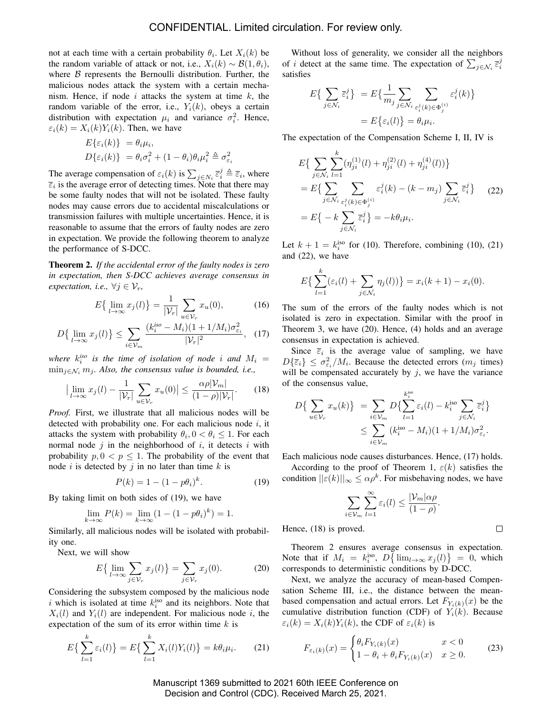not at each time with a certain probability  $\theta_i$ . Let  $X_i(k)$  be the random variable of attack or not, i.e.,  $X_i(k) \sim \mathcal{B}(1, \theta_i)$ , where  $B$  represents the Bernoulli distribution. Further, the malicious nodes attack the system with a certain mechanism. Hence, if node  $i$  attacks the system at time  $k$ , the random variable of the error, i.e.,  $Y_i(k)$ , obeys a certain distribution with expectation  $\mu_i$  and variance  $\sigma_i^2$ . Hence,  $\varepsilon_i(k) = X_i(k)Y_i(k)$ . Then, we have

$$
E\{\varepsilon_i(k)\} = \theta_i \mu_i,
$$
  

$$
D\{\varepsilon_i(k)\} = \theta_i \sigma_i^2 + (1 - \theta_i)\theta_i \mu_i^2 \triangleq \sigma_{\varepsilon_i}^2
$$

The average compensation of  $\varepsilon_i(k)$  is  $\sum_{j \in N_i} \overline{\varepsilon}_i^j \triangleq \overline{\varepsilon}_i$ , where  $\overline{\varepsilon}_i$  is the average error of detecting times. Note that there may be some faulty nodes that will not be isolated. These faulty nodes may cause errors due to accidental miscalculations or transmission failures with multiple uncertainties. Hence, it is reasonable to assume that the errors of faulty nodes are zero in expectation. We provide the following theorem to analyze the performance of S-DCC.

Theorem 2. *If the accidental error of the faulty nodes is zero in expectation, then S-DCC achieves average consensus in expectation, i.e.,*  $\forall j \in \mathcal{V}_r$ ,

$$
E\left\{\lim_{l\to\infty}x_j(l)\right\}=\frac{1}{|\mathcal{V}_r|}\sum_{u\in\mathcal{V}_r}x_u(0),\tag{16}
$$

$$
D\left\{\lim_{l\to\infty}x_j(l)\right\}\leq \sum_{i\in\mathcal{V}_m}\frac{(k_i^{iso}-M_i)(1+1/M_i)\sigma_{\varepsilon_i}^2}{|\mathcal{V}_r|^2},\quad(17)
$$

where  $k_i^{iso}$  is the time of isolation of node i and  $M_i =$  $\min_{i \in \mathcal{N}_i} m_i$ *. Also, the consensus value is bounded, i.e.,* 

$$
\left|\lim_{l \to \infty} x_j(l) - \frac{1}{|\mathcal{V}_r|} \sum_{u \in \mathcal{V}_r} x_u(0)\right| \le \frac{\alpha \rho |\mathcal{V}_m|}{(1 - \rho)|\mathcal{V}_r|}.\tag{18}
$$

*Proof.* First, we illustrate that all malicious nodes will be detected with probability one. For each malicious node  $i$ , it attacks the system with probability  $\theta_i$ ,  $0 < \theta_i \leq 1$ . For each normal node  $j$  in the neighborhood of  $i$ , it detects  $i$  with probability  $p, 0 < p \leq 1$ . The probability of the event that node i is detected by j in no later than time  $k$  is

$$
P(k) = 1 - (1 - p\theta_i)^k.
$$
 (19)

By taking limit on both sides of (19), we have

$$
\lim_{k \to \infty} P(k) = \lim_{k \to \infty} (1 - (1 - p\theta_i)^k) = 1.
$$

Similarly, all malicious nodes will be isolated with probability one.

Next, we will show

$$
E\left\{\lim_{l\to\infty}\sum_{j\in\mathcal{V}_r}x_j(l)\right\}=\sum_{j\in\mathcal{V}_r}x_j(0). \hspace{1cm} (20)
$$

Considering the subsystem composed by the malicious node i which is isolated at time  $k_i^{iso}$  and its neighbors. Note that  $X_i(l)$  and  $Y_i(l)$  are independent. For malicious node i, the expectation of the sum of its error within time  $k$  is

$$
E\left\{\sum_{l=1}^{k} \varepsilon_i(l)\right\} = E\left\{\sum_{l=1}^{k} X_i(l) Y_i(l)\right\} = k\theta_i \mu_i.
$$
 (21)

Without loss of generality, we consider all the neighbors of *i* detect at the same time. The expectation of  $\sum_{j \in \mathcal{N}_i} \overline{\epsilon}_i^j$ satisfies

$$
E\{\sum_{j \in \mathcal{N}_i} \overline{\varepsilon}_i^j\} = E\{\frac{1}{m_j} \sum_{j \in \mathcal{N}_i} \sum_{\varepsilon_i^j(k) \in \Phi_j^{(i)}} \varepsilon_i^j(k)\}
$$

$$
= E\{\varepsilon_i(l)\} = \theta_i \mu_i.
$$

The expectation of the Compensation Scheme I, II, IV is

$$
E\{\sum_{j\in\mathcal{N}_i}\sum_{l=1}^k (\eta_{ji}^{(1)}(l) + \eta_{ji}^{(2)}(l) + \eta_{ji}^{(4)}(l))\}
$$
  
=  $E\{\sum_{j\in\mathcal{N}_i}\sum_{\varepsilon_i^j(k)\in\Phi_j^{(i)}} \varepsilon_i^j(k) - (k - m_j)\sum_{j\in\mathcal{N}_i}\bar{\varepsilon}_i^j\}$  (22)  
=  $E\{-k\sum_{j\in\mathcal{N}_i}\bar{\varepsilon}_i^j\} = -k\theta_i\mu_i.$ 

Let  $k + 1 = k_i^{\text{iso}}$  for (10). Therefore, combining (10), (21) and (22), we have

$$
E\left\{\sum_{l=1}^k(\varepsilon_i(l)+\sum_{j\in\mathcal{N}_i}\eta_j(l))\right\}=x_i(k+1)-x_i(0).
$$

The sum of the errors of the faulty nodes which is not isolated is zero in expectation. Similar with the proof in Theorem 3, we have (20). Hence, (4) holds and an average consensus in expectation is achieved.

Since  $\overline{\varepsilon}_i$  is the average value of sampling, we have  $D\{\bar{\varepsilon}_i\} \leq \sigma_{\varepsilon_i}^2/M_i$ . Because the detected errors  $(m_j \text{ times})$ will be compensated accurately by  $j$ , we have the variance of the consensus value,

$$
D\{\sum_{u\in\mathcal{V}_r} x_u(k)\} = \sum_{i\in\mathcal{V}_m} D\{\sum_{l=1}^{k_i^{iso}} \varepsilon_i(l) - k_i^{iso} \sum_{j\in\mathcal{N}_i} \overline{\varepsilon}_i^j\}
$$
  

$$
\leq \sum_{i\in\mathcal{V}_m} (k_i^{iso} - M_i)(1 + 1/M_i)\sigma_{\varepsilon_i}^2.
$$

Each malicious node causes disturbances. Hence, (17) holds.

According to the proof of Theorem 1,  $\varepsilon(k)$  satisfies the condition  $||\varepsilon(k)||_{\infty} \leq \alpha \rho^k$ . For misbehaving nodes, we have

$$
\sum_{i\in\mathcal{V}_m}\sum_{l=1}^{\infty}\varepsilon_i(l)\leq \frac{|\mathcal{V}_m| \alpha\rho}{(1-\rho)}.
$$

Hence, (18) is proved.

 $\Box$ 

Theorem 2 ensures average consensus in expectation. Note that if  $M_i = k_i^{iso}$ ,  $D\{\lim_{l\to\infty} x_j(l)\} = 0$ , which corresponds to deterministic conditions by D-DCC.

Next, we analyze the accuracy of mean-based Compensation Scheme III, i.e., the distance between the meanbased compensation and actual errors. Let  $F_{Y_i(k)}(x)$  be the cumulative distribution function (CDF) of  $Y_i(k)$ . Because  $\varepsilon_i(k) = X_i(k)Y_i(k)$ , the CDF of  $\varepsilon_i(k)$  is

$$
F_{\varepsilon_i(k)}(x) = \begin{cases} \theta_i F_{Y_i(k)}(x) & x < 0\\ 1 - \theta_i + \theta_i F_{Y_i(k)}(x) & x \ge 0. \end{cases}
$$
 (23)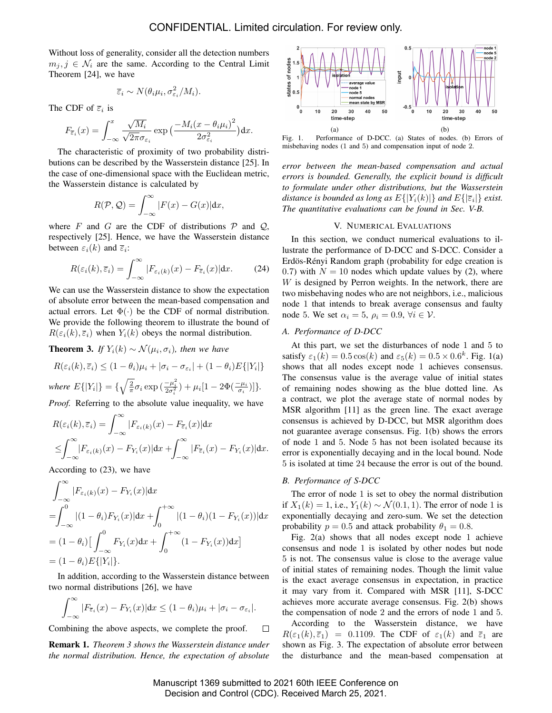Without loss of generality, consider all the detection numbers  $m_j, j \in \mathcal{N}_i$  are the same. According to the Central Limit Theorem [24], we have

$$
\overline{\varepsilon}_i \sim N(\theta_i \mu_i, \sigma_{\varepsilon_i}^2 / M_i).
$$

The CDF of  $\overline{\varepsilon}_i$  is

$$
F_{\overline{\varepsilon}_i}(x) = \int_{-\infty}^x \frac{\sqrt{M_i}}{\sqrt{2\pi}\sigma_{\varepsilon_i}} \exp\big(\frac{-M_i(x-\theta_i\mu_i)^2}{2\sigma_{\varepsilon_i}^2}\big) \mathrm{d}x.
$$

The characteristic of proximity of two probability distributions can be described by the Wasserstein distance [25]. In the case of one-dimensional space with the Euclidean metric, the Wasserstein distance is calculated by

$$
R(\mathcal{P}, \mathcal{Q}) = \int_{-\infty}^{\infty} |F(x) - G(x)| dx,
$$

where F and G are the CDF of distributions  $P$  and  $Q$ , respectively [25]. Hence, we have the Wasserstein distance between  $\varepsilon_i(k)$  and  $\overline{\varepsilon}_i$ :

$$
R(\varepsilon_i(k), \overline{\varepsilon}_i) = \int_{-\infty}^{\infty} |F_{\varepsilon_i(k)}(x) - F_{\overline{\varepsilon}_i}(x)| \, \mathrm{d}x. \tag{24}
$$

We can use the Wasserstein distance to show the expectation of absolute error between the mean-based compensation and actual errors. Let  $\Phi(\cdot)$  be the CDF of normal distribution. We provide the following theorem to illustrate the bound of  $R(\varepsilon_i(k), \overline{\varepsilon}_i)$  when  $Y_i(k)$  obeys the normal distribution.

**Theorem 3.** *If*  $Y_i(k) \sim \mathcal{N}(\mu_i, \sigma_i)$ , then we have

$$
R(\varepsilon_i(k), \overline{\varepsilon}_i) \le (1 - \theta_i)\mu_i + |\sigma_i - \sigma_{\varepsilon_i}| + (1 - \theta_i)E\{|Y_i|\}
$$

*where*  $E\{|Y_i|\} = \{\sqrt{\frac{2}{\pi}}\sigma_i \exp(\frac{-\mu_i^2}{2\sigma_i^2}) + \mu_i[1 - 2\Phi(\frac{-\mu_i}{\sigma_i})]\}.$ 

*Proof.* Referring to the absolute value inequality, we have

$$
R(\varepsilon_i(k), \overline{\varepsilon}_i) = \int_{-\infty}^{\infty} |F_{\varepsilon_i(k)}(x) - F_{\overline{\varepsilon}_i}(x)| dx
$$
  

$$
\leq \int_{-\infty}^{\infty} |F_{\varepsilon_i(k)}(x) - F_{Y_i}(x)| dx + \int_{-\infty}^{\infty} |F_{\overline{\varepsilon}_i}(x) - F_{Y_i}(x)| dx.
$$

According to (23), we have

$$
\int_{-\infty}^{\infty} |F_{\varepsilon_i(k)}(x) - F_{Y_i}(x)| dx
$$
  
\n
$$
= \int_{-\infty}^{0} |(1 - \theta_i) F_{Y_i}(x)| dx + \int_{0}^{+\infty} |(1 - \theta_i)(1 - F_{Y_i}(x))| dx
$$
  
\n
$$
= (1 - \theta_i) \Big[ \int_{-\infty}^{0} F_{Y_i}(x) dx + \int_{0}^{+\infty} (1 - F_{Y_i}(x)) dx \Big]
$$
  
\n
$$
= (1 - \theta_i) E\{[Y_i]\}.
$$

In addition, according to the Wasserstein distance between two normal distributions [26], we have

$$
\int_{-\infty}^{\infty} |F_{\overline{\varepsilon}_i}(x) - F_{Y_i}(x)| dx \le (1 - \theta_i)\mu_i + |\sigma_i - \sigma_{\varepsilon_i}|.
$$

Combining the above aspects, we complete the proof.  $\Box$ 

Remark 1. *Theorem 3 shows the Wasserstein distance under the normal distribution. Hence, the expectation of absolute*



Fig. 1. Performance of D-DCC. (a) States of nodes. (b) Errors of misbehaving nodes (1 and 5) and compensation input of node 2.

*error between the mean-based compensation and actual errors is bounded. Generally, the explicit bound is difficult to formulate under other distributions, but the Wasserstein distance is bounded as long as*  $E\{|Y_i(k)|\}$  *and*  $E\{|\overline{\varepsilon}_i|\}$  *exist. The quantitative evaluations can be found in Sec. V-B.*

#### V. NUMERICAL EVALUATIONS

In this section, we conduct numerical evaluations to illustrate the performance of D-DCC and S-DCC. Consider a Erdös-Rényi Random graph (probability for edge creation is 0.7) with  $N = 10$  nodes which update values by (2), where W is designed by Perron weights. In the network, there are two misbehaving nodes who are not neighbors, i.e., malicious node 1 that intends to break average consensus and faulty node 5. We set  $\alpha_i = 5$ ,  $\rho_i = 0.9$ ,  $\forall i \in \mathcal{V}$ .

# *A. Performance of D-DCC*

At this part, we set the disturbances of node 1 and 5 to satisfy  $\varepsilon_1(k) = 0.5 \cos(k)$  and  $\varepsilon_5(k) = 0.5 \times 0.6^k$ . Fig. 1(a) shows that all nodes except node 1 achieves consensus. The consensus value is the average value of initial states of remaining nodes showing as the blue dotted line. As a contract, we plot the average state of normal nodes by MSR algorithm [11] as the green line. The exact average consensus is achieved by D-DCC, but MSR algorithm does not guarantee average consensus. Fig. 1(b) shows the errors of node 1 and 5. Node 5 has not been isolated because its error is exponentially decaying and in the local bound. Node 5 is isolated at time 24 because the error is out of the bound.

#### *B. Performance of S-DCC*

The error of node 1 is set to obey the normal distribution if  $X_1(k) = 1$ , i.e.,  $Y_1(k) \sim \mathcal{N}(0.1, 1)$ . The error of node 1 is exponentially decaying and zero-sum. We set the detection probability  $p = 0.5$  and attack probability  $\theta_1 = 0.8$ .

Fig. 2(a) shows that all nodes except node 1 achieve consensus and node 1 is isolated by other nodes but node 5 is not. The consensus value is close to the average value of initial states of remaining nodes. Though the limit value is the exact average consensus in expectation, in practice it may vary from it. Compared with MSR [11], S-DCC achieves more accurate average consensus. Fig. 2(b) shows the compensation of node 2 and the errors of node 1 and 5. According to the Wasserstein distance, we have  $R(\varepsilon_1(k), \bar{\varepsilon}_1) = 0.1109$ . The CDF of  $\varepsilon_1(k)$  and  $\bar{\varepsilon}_1$  are shown as Fig. 3. The expectation of absolute error between the disturbance and the mean-based compensation at